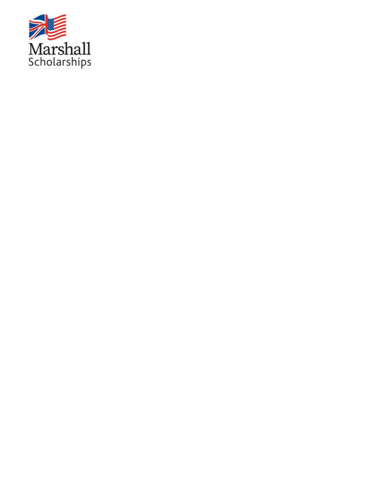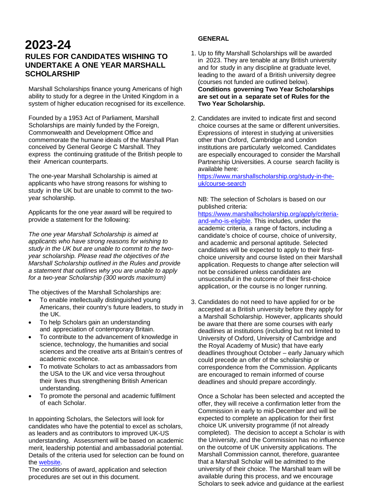# **2023-24 RULES FOR CANDIDATES WISHING TO UNDERTAKE A ONE YEAR MARSHALL SCHOLARSHIP**

Marshall Scholarships finance young Americans of high ability to study for a degree in the United Kingdom in a system of higher education recognised for its excellence.

Founded by a 1953 Act of Parliament, Marshall Scholarships are mainly funded by the Foreign, Commonwealth and Development Office and commemorate the humane ideals of the Marshall Plan conceived by General George C Marshall. They express the continuing gratitude of the British people to their American counterparts.

The one-year Marshall Scholarship is aimed at applicants who have strong reasons for wishing to study in the UK but are unable to commit to the twoyear scholarship.

Applicants for the one year award will be required to provide a statement for the following:

*The one year Marshall Scholarship is aimed at applicants who have strong reasons for wishing to study in the UK but are unable to commit to the twoyear scholarship. Please read the objectives of the Marshall Scholarship outlined in the Rules and provide a statement that outlines why you are unable to apply for a two-year Scholarship (300 words maximum)*

The objectives of the Marshall Scholarships are:

- To enable intellectually distinguished young Americans, their country's future leaders, to study in the UK.
- To help Scholars gain an understanding and appreciation of contemporary Britain.
- To contribute to the advancement of knowledge in science, technology, the humanities and social sciences and the creative arts at Britain's centres of academic excellence.
- To motivate Scholars to act as ambassadors from the USA to the UK and vice versa throughout their lives thus strengthening British American understanding.
- To promote the personal and academic fulfilment of each Scholar.

In appointing Scholars, the Selectors will look for candidates who have the potential to excel as scholars, as leaders and as contributors to improved UK-US understanding. Assessment will be based on academic merit, leadership potential and ambassadorial potential. Details of the criteria used for selection can be found on the [website.](https://www.marshallscholarship.org/apply/criteria-and-who-is-eligible)

The conditions of award, application and selection procedures are set out in this document.

# **GENERAL**

- 1. Up to fifty Marshall Scholarships will be awarded in 2023. They are tenable at any British university and for study in any discipline at graduate level, leading to the award of a British university degree (courses not funded are outlined below). **Conditions governing Two Year Scholarships are set out in a separate set of Rules for the Two Year Scholarship.**
- 2. Candidates are invited to indicate first and second choice courses at the same or different universities. Expressions of interest in studying at universities other than Oxford, Cambridge and London institutions are particularly welcomed. Candidates are especially encouraged to consider the Marshall Partnership Universities. A course search facility is available here:

[https://www.marshallscholarship.org/study-in-the](https://www.marshallscholarship.org/study-in-the-uk/course-search)[uk/course-search](https://www.marshallscholarship.org/study-in-the-uk/course-search)

#### NB: The selection of Scholars is based on our published criteria:

[https://www.marshallscholarship.org/apply/criteria](https://www.marshallscholarship.org/apply/criteria-and-who-is-eligible)[and-who-is-eligible.](https://www.marshallscholarship.org/apply/criteria-and-who-is-eligible) This includes, under the academic criteria, a range of factors, including a candidate's choice of course, choice of university, and academic and personal aptitude. Selected candidates will be expected to apply to their firstchoice university and course listed on their Marshall application. Requests to change after selection will not be considered unless candidates are unsuccessful in the outcome of their first-choice application, or the course is no longer running.

3. Candidates do not need to have applied for or be accepted at a British university before they apply for a Marshall Scholarship. However, applicants should be aware that there are some courses with early deadlines at institutions (including but not limited to University of Oxford, University of Cambridge and the Royal Academy of Music) that have early deadlines throughout October – early January which could precede an offer of the scholarship or correspondence from the Commission. Applicants are encouraged to remain informed of course deadlines and should prepare accordingly.

Once a Scholar has been selected and accepted the offer, they will receive a confirmation letter from the Commission in early to mid-December and will be expected to complete an application for their first choice UK university programme (if not already completed). The decision to accept a Scholar is with the University, and the Commission has no influence on the outcome of UK university applications. The Marshall Commission cannot, therefore, guarantee that a Marshall Scholar will be admitted to the university of their choice. The Marshall team will be available during this process, and we encourage Scholars to seek advice and guidance at the earliest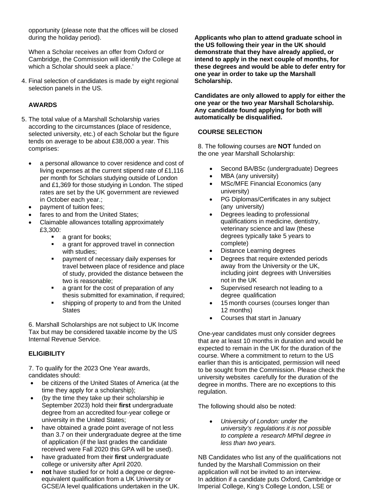opportunity (please note that the offices will be closed during the holiday period).

When a Scholar receives an offer from Oxford or Cambridge, the Commission will identify the College at which a Scholar should seek a place.'

4. Final selection of candidates is made by eight regional selection panels in the US.

# **AWARDS**

- 5. The total value of a Marshall Scholarship varies according to the circumstances (place of residence, selected university, etc.) of each Scholar but the figure tends on average to be about £38,000 a year. This comprises:
	- a personal allowance to cover residence and cost of living expenses at the current stipend rate of £1,116 per month for Scholars studying outside of London and £1,369 for those studying in London. The stiped rates are set by the UK government are reviewed in October each year.;
	- payment of tuition fees;
	- fares to and from the United States;
	- Claimable allowances totalling approximately £3,300:
		- a grant for books;
		- a grant for approved travel in connection with studies;
		- payment of necessary daily expenses for travel between place of residence and place of study, provided the distance between the two is reasonable;
		- **a** grant for the cost of preparation of any thesis submitted for examination, if required;
		- shipping of property to and from the United **States**

6. Marshall Scholarships are not subject to UK Income Tax but may be considered taxable income by the US Internal Revenue Service.

# **ELIGIBILITY**

7. To qualify for the 2023 One Year awards, candidates should:

- be citizens of the United States of America (at the time they apply for a scholarship);
- (by the time they take up their scholarship ie September 2023) hold their **first** undergraduate degree from an accredited four-year college or university in the United States;
- have obtained a grade point average of not less than 3.7 on their undergraduate degree at the time of application (if the last grades the candidate received were Fall 2020 this GPA will be used).
- have graduated from their **first** undergraduate college or university after April 2020.
- **not** have studied for or hold a degree or degreeequivalent qualification from a UK University or GCSE/A level qualifications undertaken in the UK.

**Applicants who plan to attend graduate school in the US following their year in the UK should demonstrate that they have already applied, or intend to apply in the next couple of months, for these degrees and would be able to defer entry for one year in order to take up the Marshall Scholarship.**

**Candidates are only allowed to apply for either the one year or the two year Marshall Scholarship. Any candidate found applying for both will automatically be disqualified.**

# **COURSE SELECTION**

8. The following courses are **NOT** funded on the one year Marshall Scholarship:

- Second BA/BSc (undergraduate) Degrees
- MBA (any university)
- MSc/MFE Financial Economics (any university)
- PG Diplomas/Certificates in any subject (any university)
- Degrees leading to professional qualifications in medicine, dentistry, veterinary science and law (these degrees typically take 5 years to complete)
- Distance Learning degrees
- Degrees that require extended periods away from the University or the UK, including joint degrees with Universities not in the UK
- Supervised research not leading to a degree qualification
- 15 month courses (courses longer than 12 months)
- Courses that start in January

One-year candidates must only consider degrees that are at least 10 months in duration and would be expected to remain in the UK for the duration of the course. Where a commitment to return to the US earlier than this is anticipated, permission will need to be sought from the Commission. Please check the university websites carefully for the duration of the degree in months. There are no exceptions to this regulation.

The following should also be noted:

• *University of London: under the university's regulations it is not possible to complete a research MPhil degree in less than two years.*

NB Candidates who list any of the qualifications not funded by the Marshall Commission on their application will not be invited to an interview. In addition if a candidate puts Oxford, Cambridge or Imperial College, King's College London, LSE or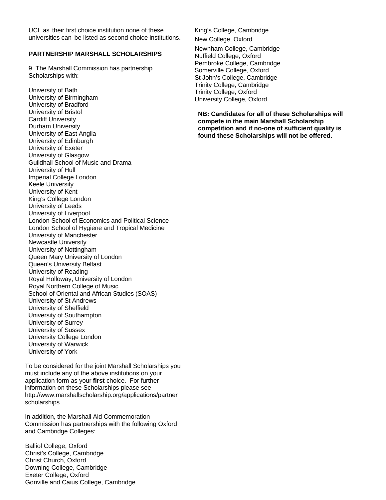UCL as their first choice institution none of these universities can be listed as second choice institutions.

# **PARTNERSHIP MARSHALL SCHOLARSHIPS**

9. The Marshall Commission has partnership Scholarships with:

University of Bath University of Birmingham University of Bradford University of Bristol Cardiff University Durham University University of East Anglia University of Edinburgh University of Exeter University of Glasgow Guildhall School of Music and Drama University of Hull Imperial College London Keele University University of Kent King's College London University of Leeds University of Liverpool London School of Economics and Political Science London School of Hygiene and Tropical Medicine University of Manchester Newcastle University University of Nottingham Queen Mary University of London Queen's University Belfast University of Reading Royal Holloway, University of London Royal Northern College of Music School of Oriental and African Studies (SOAS) University of St Andrews University of Sheffield University of Southampton University of Surrey University of Sussex University College London University of Warwick University of York

To be considered for the joint Marshall Scholarships you must include any of the above institutions on your application form as your **first** choice. For further information on these Scholarships please se[e](http://www.marshallscholarship.org/applications/) [http://www.marshallscholarship.org/applications/p](http://www.marshallscholarship.org/applications/)artner scholarships

In addition, the Marshall Aid Commemoration Commission has partnerships with the following Oxford and Cambridge Colleges:

Balliol College, Oxford Christ's College, Cambridge Christ Church, Oxford Downing College, Cambridge Exeter College, Oxford Gonville and Caius College, Cambridge King's College, Cambridge

New College, Oxford

Newnham College, Cambridge Nuffield College, Oxford Pembroke College, Cambridge Somerville College, Oxford St John's College, Cambridge Trinity College, Cambridge Trinity College, Oxford University College, Oxford

**NB: Candidates for all of these Scholarships will compete in the main Marshall Scholarship competition and if no-one of sufficient quality is found these Scholarships will not be offered.**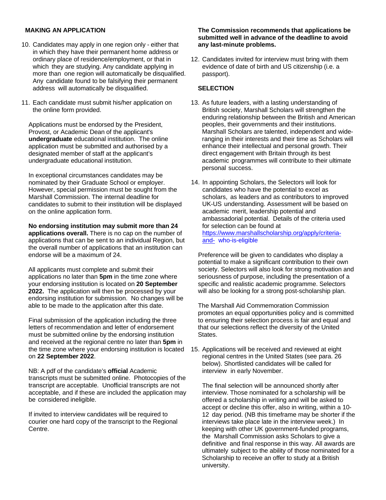#### **MAKING AN APPLICATION**

- 10. Candidates may apply in one region only either that in which they have their permanent home address or ordinary place of residence/employment, or that in which they are studying. Any candidate applying in more than one region will automatically be disqualified. Any candidate found to be falsifying their permanent address will automatically be disqualified.
- 11. Each candidate must submit his/her application on the online form provided.

Applications must be endorsed by the President, Provost, or Academic Dean of the applicant's **undergraduate** educational institution. The online application must be submitted and authorised by a designated member of staff at the applicant's undergraduate educational institution.

In exceptional circumstances candidates may be nominated by their Graduate School or employer. However, special permission must be sought from the Marshall Commission. The internal deadline for candidates to submit to their institution will be displayed on the online application form.

**No endorsing institution may submit more than 24 applications overall.** There is no cap on the number of applications that can be sent to an individual Region, but the overall number of applications that an institution can endorse will be a maximum of 24.

All applicants must complete and submit their applications no later than **5pm** in the time zone where your endorsing institution is located on **20 September 2022.** The application will then be processed by your endorsing institution for submission. No changes will be able to be made to the application after this date.

Final submission of the application including the three letters of recommendation and letter of endorsement must be submitted online by the endorsing institution and received at the regional centre no later than **5pm** in the time zone where your endorsing institution is located on **22 September 2022**.

NB: A pdf of the candidate's **official** Academic transcripts must be submitted online. Photocopies of the transcript are acceptable. Unofficial transcripts are not acceptable, and if these are included the application may be considered ineligible.

If invited to interview candidates will be required to courier one hard copy of the transcript to the Regional Centre.

#### **The Commission recommends that applications be submitted well in advance of the deadline to avoid any last-minute problems.**

12. Candidates invited for interview must bring with them evidence of date of birth and US citizenship (i.e. a passport).

#### **SELECTION**

- 13. As future leaders, with a lasting understanding of British society, Marshall Scholars will strengthen the enduring relationship between the British and American peoples, their governments and their institutions. Marshall Scholars are talented, independent and wideranging in their interests and their time as Scholars will enhance their intellectual and personal growth. Their direct engagement with Britain through its best academic programmes will contribute to their ultimate personal success.
- 14. In appointing Scholars, the Selectors will look for candidates who have the potential to excel as scholars, as leaders and as contributors to improved UK-US understanding. Assessment will be based on academic merit, leadership potential and ambassadorial potential. Details of the criteria used for selection can be found at [https://www.marshallscholarship.org/apply/criteria](https://www.marshallscholarship.org/apply/criteria-and-who-is-eligible)[and-](https://www.marshallscholarship.org/apply/criteria-and-who-is-eligible) [who-is-eligible](https://www.marshallscholarship.org/apply/criteria-and-who-is-eligible)

Preference will be given to candidates who display a potential to make a significant contribution to their own society. Selectors will also look for strong motivation and seriousness of purpose, including the presentation of a specific and realistic academic programme. Selectors will also be looking for a strong post-scholarship plan.

The Marshall Aid Commemoration Commission promotes an equal opportunities policy and is committed to ensuring their selection process is fair and equal and that our selections reflect the diversity of the United States.

15. Applications will be received and reviewed at eight regional centres in the United States (see para. 26 below). Shortlisted candidates will be called for interview in early November.

The final selection will be announced shortly after interview. Those nominated for a scholarship will be offered a scholarship in writing and will be asked to accept or decline this offer, also in writing, within a 10- 12 day period. (NB this timeframe may be shorter if the interviews take place late in the interview week.) In keeping with other UK government-funded programs, the Marshall Commission asks Scholars to give a definitive and final response in this way. All awards are ultimately subject to the ability of those nominated for a Scholarship to receive an offer to study at a British university.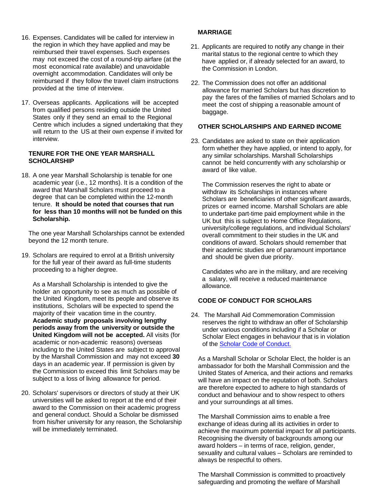- 16. Expenses. Candidates will be called for interview in the region in which they have applied and may be reimbursed their travel expenses. Such expenses may not exceed the cost of a round-trip airfare (at the most economical rate available) and unavoidable overnight accommodation. Candidates will only be reimbursed if they follow the travel claim instructions provided at the time of interview.
- 17. Overseas applicants. Applications will be accepted from qualified persons residing outside the United States only if they send an email to the Regional Centre which includes a signed undertaking that they will return to the US at their own expense if invited for interview.

### **TENURE FOR THE ONE YEAR MARSHALL SCHOLARSHIP**

18. A one year Marshall Scholarship is tenable for one academic year (i.e., 12 months). It is a condition of the award that Marshall Scholars must proceed to a degree that can be completed within the 12-month tenure. **It should be noted that courses that run for less than 10 months will not be funded on this Scholarship.**

The one year Marshall Scholarships cannot be extended beyond the 12 month tenure.

19. Scholars are required to enrol at a British university for the full year of their award as full-time students proceeding to a higher degree.

As a Marshall Scholarship is intended to give the holder an opportunity to see as much as possible of the United Kingdom, meet its people and observe its institutions, Scholars will be expected to spend the majority of their vacation time in the country. **Academic study proposals involving lengthy periods away from the university or outside the United Kingdom will not be accepted.** All visits (for academic or non-academic reasons) overseas including to the United States are subject to approval by the Marshall Commission and may not exceed **30** days in an academic year. If permission is given by the Commission to exceed this limit Scholars may be subject to a loss of living allowance for period.

20. Scholars' supervisors or directors of study at their UK universities will be asked to report at the end of their award to the Commission on their academic progress and general conduct. Should a Scholar be dismissed from his/her university for any reason, the Scholarship will be immediately terminated.

# **MARRIAGE**

- 21. Applicants are required to notify any change in their marital status to the regional centre to which they have applied or, if already selected for an award, to the Commission in London.
- 22. The Commission does not offer an additional allowance for married Scholars but has discretion to pay the fares of the families of married Scholars and to meet the cost of shipping a reasonable amount of baggage.

# **OTHER SCHOLARSHIPS AND EARNED INCOME**

23. Candidates are asked to state on their application form whether they have applied, or intend to apply, for any similar scholarships. Marshall Scholarships cannot be held concurrently with any scholarship or award of like value.

The Commission reserves the right to abate or withdraw its Scholarships in instances where Scholars are beneficiaries of other significant awards, prizes or earned income. Marshall Scholars are able to undertake part-time paid employment while in the UK but this is subject to Home Office Regulations, university/college regulations, and individual Scholars' overall commitment to their studies in the UK and conditions of award. Scholars should remember that their academic studies are of paramount importance and should be given due priority.

Candidates who are in the military, and are receiving a salary, will receive a reduced maintenance allowance.

# **CODE OF CONDUCT FOR SCHOLARS**

24. The Marshall Aid Commemoration Commission reserves the right to withdraw an offer of Scholarship under various conditions including if a Scholar or Scholar Elect engages in behaviour that is in violation of the [Scholar Code of Conduct.](https://www.marshallscholarship.org/media/2383/scholar-code-of-conduct_may-2022.pdf)

As a Marshall Scholar or Scholar Elect, the holder is an ambassador for both the Marshall Commission and the United States of America, and their actions and remarks will have an impact on the reputation of both. Scholars are therefore expected to adhere to high standards of conduct and behaviour and to show respect to others and your surroundings at all times.

The Marshall Commission aims to enable a free exchange of ideas during all its activities in order to achieve the maximum potential impact for all participants. Recognising the diversity of backgrounds among our award holders – in terms of race, religion, gender, sexuality and cultural values – Scholars are reminded to always be respectful to others.

The Marshall Commission is committed to proactively safeguarding and promoting the welfare of Marshall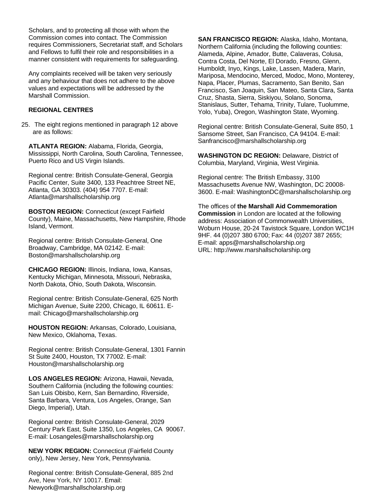Scholars, and to protecting all those with whom the Commission comes into contact. The Commission requires Commissioners, Secretariat staff, and Scholars and Fellows to fulfil their role and responsibilities in a manner consistent with requirements for safeguarding.

Any complaints received will be taken very seriously and any behaviour that does not adhere to the above values and expectations will be addressed by the Marshall Commission.

#### **REGIONAL CENTRES**

25. The eight regions mentioned in paragraph 12 above are as follows:

**ATLANTA REGION:** Alabama, Florida, Georgia, Mississippi, North Carolina, South Carolina, Tennessee, Puerto Rico and US Virgin Islands.

Regional centre: British Consulate-General, Georgia Pacific Center, Suite 3400, 133 Peachtree Street NE, Atlanta, GA 30303. (404) 954 7707. E-mail: [Atlanta@marshallscholarship.org](mailto:Atlanta@marshallscholarship.org)

**BOSTON REGION:** Connecticut (except Fairfield County), Maine, Massachusetts, New Hampshire, Rhode Island, Vermont.

Regional centre: British Consulate-General, One Broadway, Cambridge, MA 02142. E-mail: [Boston@marshallscholarship.org](mailto:Boston@marshallscholarship.org)

**CHICAGO REGION:** Illinois, Indiana, Iowa, Kansas, Kentucky Michigan, Minnesota, Missouri, Nebraska, North Dakota, Ohio, South Dakota, Wisconsin.

Regional centre: British Consulate-General, 625 North Michigan Avenue, Suite 2200, Chicago, IL 60611. Email: [Chicago@marshallscholarship.org](mailto:Chicago@marshallscholarship.org)

**HOUSTON REGION:** Arkansas, Colorado, Louisiana, New Mexico, Oklahoma, Texas.

Regional centre: British Consulate-General, 1301 Fannin St Suite 2400, Houston, TX 77002. E-mail: [Houston@marshallscholarship.org](mailto:Houston@marshallscholarship.org)

**LOS ANGELES REGION:** Arizona, Hawaii, Nevada, Southern California (including the following counties: San Luis Obisbo, Kern, San Bernardino, Riverside, Santa Barbara, Ventura, Los Angeles, Orange, San Diego, Imperial), Utah.

Regional centre: British Consulate-General, 2029 Century Park East, Suite 1350, Los Angeles, CA 90067. E-mail: [Losangeles@marshallscholarship.org](mailto:Losangeles@marshallscholarship.org)

**NEW YORK REGION:** Connecticut (Fairfield County only), New Jersey, New York, Pennsylvania.

Regional centre: British Consulate-General, 885 2nd Ave, New York, NY 10017. Email: [Newyork@marshallscholarship.org](mailto:Newyork@marshallscholarship.org)

**SAN FRANCISCO REGION:** Alaska, Idaho, Montana, Northern California (including the following counties: Alameda, Alpine, Amador, Butte, Calaveras, Colusa, Contra Costa, Del Norte, El Dorado, Fresno, Glenn, Humboldt, Inyo, Kings, Lake, Lassen, Madera, Marin, Mariposa, Mendocino, Merced, Modoc, Mono, Monterey, Napa, Placer, Plumas, Sacramento, San Benito, San Francisco, San Joaquin, San Mateo, Santa Clara, Santa Cruz, Shasta, Sierra, Siskiyou, Solano, Sonoma, Stanislaus, Sutter, Tehama, Trinity, Tulare, Tuolumme, Yolo, Yuba), Oregon, Washington State, Wyoming.

Regional centre: British Consulate-General, Suite 850, 1 Sansome Street, San Francisco, CA 94104. E-mail[:](mailto:Sanfrancisco@marshallscholarship.org) [Sanfrancisco@marshallscholarship.org](mailto:Sanfrancisco@marshallscholarship.org)

**WASHINGTON DC REGION:** Delaware, District of Columbia, Maryland, Virginia, West Virginia.

Regional centre: The British Embassy, 3100 Massachusetts Avenue NW, Washington, DC 20008- 3600. E-mail: [WashingtonDC@marshallscholarship.org](mailto:WashingtonDC@marshallscholarship.org)

The offices of **the Marshall Aid Commemoration Commission** in London are located at the following address: Association of Commonwealth Universities, Woburn House, 20-24 Tavistock Square, London WC1H 9HF. 44 (0)207 380 6700; Fax: 44 (0)207 387 2655; E-mail: [apps@marshallscholarship.org](mailto:apps@marshallscholarship.org) URL: [http://www.marshallscholarship.org](http://www.marshallscholarship.org/)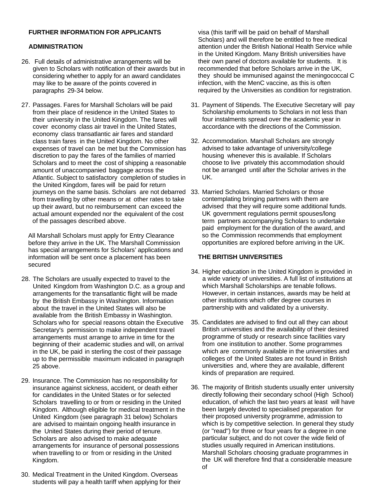#### **FURTHER INFORMATION FOR APPLICANTS**

#### **ADMINISTRATION**

- 26. Full details of administrative arrangements will be given to Scholars with notification of their awards but in considering whether to apply for an award candidates may like to be aware of the points covered in paragraphs 29-34 below.
- 27. Passages. Fares for Marshall Scholars will be paid from their place of residence in the United States to their university in the United Kingdom. The fares will cover economy class air travel in the United States, economy class transatlantic air fares and standard class train fares in the United Kingdom. No other expenses of travel can be met but the Commission has discretion to pay the fares of the families of married Scholars and to meet the cost of shipping a reasonable amount of unaccompanied baggage across the Atlantic. Subject to satisfactory completion of studies in the United Kingdom, fares will be paid for return journeys on the same basis. Scholars are not debarred from travelling by other means or at other rates to take up their award, but no reimbursement can exceed the actual amount expended nor the equivalent of the cost of the passages described above.

All Marshall Scholars must apply for Entry Clearance before they arrive in the UK. The Marshall Commission has special arrangements for Scholars' applications and information will be sent once a placement has been secured

- 28. The Scholars are usually expected to travel to the United Kingdom from Washington D.C. as a group and arrangements for the transatlantic flight will be made by the British Embassy in Washington. Information about the travel in the United States will also be available from the British Embassy in Washington. Scholars who for special reasons obtain the Executive Secretary's permission to make independent travel arrangements must arrange to arrive in time for the beginning of their academic studies and will, on arrival in the UK, be paid in sterling the cost of their passage up to the permissible maximum indicated in paragraph 25 above.
- 29. Insurance. The Commission has no responsibility for insurance against sickness, accident, or death either for candidates in the United States or for selected Scholars travelling to or from or residing in the United Kingdom. Although eligible for medical treatment in the United Kingdom (see paragraph 31 below) Scholars are advised to maintain ongoing health insurance in the United States during their period of tenure. Scholars are also advised to make adequate arrangements for insurance of personal possessions when travelling to or from or residing in the United Kingdom.
- 30. Medical Treatment in the United Kingdom. Overseas students will pay a health tariff when applying for their

visa (this tariff will be paid on behalf of Marshall Scholars) and will therefore be entitled to free medical attention under the British National Health Service while in the United Kingdom. Many British universities have their own panel of doctors available for students. It is recommended that before Scholars arrive in the UK, they should be immunised against the meningococcal C infection, with the MenC vaccine, as this is often required by the Universities as condition for registration.

- 31. Payment of Stipends. The Executive Secretary will pay Scholarship emoluments to Scholars in not less than four instalments spread over the academic year in accordance with the directions of the Commission.
- 32. Accommodation. Marshall Scholars are strongly advised to take advantage of university/college housing whenever this is available. If Scholars choose to live privately this accommodation should not be arranged until after the Scholar arrives in the UK.
- 33. Married Scholars. Married Scholars or those contemplating bringing partners with them are advised that they will require some additional funds. UK government regulations permit spouses/long term partners accompanying Scholars to undertake paid employment for the duration of the award, and so the Commission recommends that employment opportunities are explored before arriving in the UK.

#### **THE BRITISH UNIVERSITIES**

- 34. Higher education in the United Kingdom is provided in a wide variety of universities. A full list of institutions at which Marshall Scholarships are tenable follows. However, in certain instances, awards may be held at other institutions which offer degree courses in partnership with and validated by a university.
- 35. Candidates are advised to find out all they can about British universities and the availability of their desired programme of study or research since facilities vary from one institution to another. Some programmes which are commonly available in the universities and colleges of the United States are not found in British universities and, where they are available, different kinds of preparation are required.
- 36. The majority of British students usually enter university directly following their secondary school (High School) education, of which the last two years at least will have been largely devoted to specialised preparation for their proposed university programme, admission to which is by competitive selection. In general they study (or "read") for three or four years for a degree in one particular subject, and do not cover the wide field of studies usually required in American institutions. Marshall Scholars choosing graduate programmes in the UK will therefore find that a considerable measure of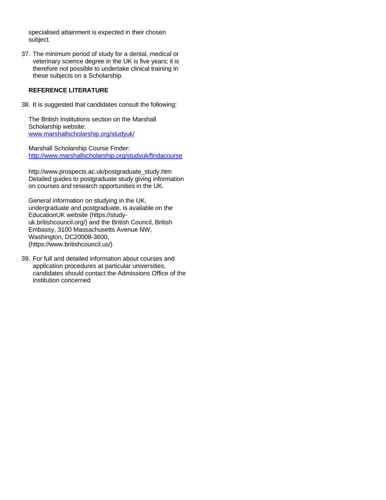specialised attainment is expected in their chosen subject.

37. The minimum period of study for a dental, medical or veterinary science degree in the UK is five years; it is therefore not possible to undertake clinical training in these subjects on a Scholarship.

## **REFERENCE LITERATURE**

38. It is suggested that candidates consult the following:

The British Institutions section on the Marshall Scholarship website: [www.marshallscholarship.org/studyuk/](http://www.marshallscholarship.org/studyuk/)

Marshall Scholarship Course Finder: <http://www.marshallscholarship.org/studyuk/findacourse>

[http://www.prospects.ac.uk/postgraduate\\_study.htm](http://www.prospects.ac.uk/postgraduate_study.htm) Detailed guides to postgraduate study giving information on courses and research opportunities in the UK.

General information on studying in the UK, undergraduate and postgraduate, is available on the EducationUK website (https://studyuk.britishcouncil.org/) and the British Council, British Embassy, 3100 Massachusetts Avenue NW, Washington, DC20008-3600, [\(https://www.britishcouncil.us/\)](http://www.britishcouncil.us/))

39. For full and detailed information about courses and application procedures at particular universities, candidates should contact the Admissions Office of the institution concerned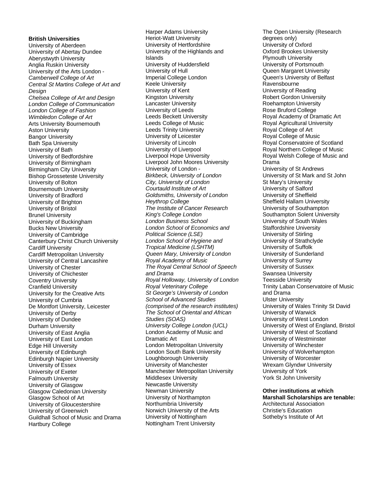**British Universities** [University of Abertay Dundee](http://www.abertay.ac.uk/) **University of the Highlands and** Oxford [Brookes University](http://www.brookes.ac.uk/)<br>Aberystwyth University **Numbersity** Islands [Aberystwyth](http://www.aber.ac.uk/) University lslands Plymouth University<br>Anglia Ruskin University University of Huddersfield University of Portsmouth Anglia Ruskin [University](http://www.anglia.ac.uk/) University [of Huddersfield](http://www.huddersfield.ac.uk/) University [of Portsmouth](http://www.port.ac.uk/) [University](http://www.hull.ac.uk/) of the Arts London - <br>
University of Hull College London - Camberwell College of Art College London - Camberwell College of Art College London - Camberwell College of Art *[Camberwell](http://www.camberwell.arts.ac.uk/) College of Art* [Imperial](http://www.ic.ac.uk/) College London **Camberwell College** of Art **Imperial College** London **Central St Martins College** of Art and **Keele [University](http://www.qub.ac.uk/) Central St Martins College of Art and Keele University Central St [Martins College](http://www.csm.arts.ac.uk/) of Art and** [Keele](http://www.keele.ac.uk/) University<br>
Design **Martion** Design **[Design](http://www.csm.arts.ac.uk/)**<br>
Design **Design**<br>
Design [University](http://www.kent.ac.uk/) Chelsea College of Art and Design **Network College College of Art and Design [Chelsea](http://www.chelsea.arts.ac.uk/) College of Art and Design** Kingston [University](http://www.rgu.ac.uk/) **Robert Gordon University** Chelsea College of Communication Lancaster University **Robert Gordon University** *London College of [Communication](http://www.lcc.arts.ac.uk/)*<br> *London College of Fashion*<br> *London College of Fashion*<br> *London College London College of [Fashion](http://www.fashion.arts.ac.uk/)*<br>
Wimbledon College of Art **College**<br>
Vimbledon College of Art **Rose College Leeds Beckett University College** Royal Academy of Dramatic Art *[Wimbledon](http://www.wimbledon.arts.ac.uk/) College of Art* **Leeds Beckett [University](http://www.lmu.ac.uk/) Royal [Academy](http://www.rada.org/) of Dramatic College Arts University** Royal Academy of Dramatic Arts University **Arts** University **Arts** University **Arts** University Arts University Bournemouth Leeds College of Music Royal Agricultural University Aston [University](http://www.aston.ac.uk/) **Article 2018** Leeds Trinity University<br>
Bangor University **[College](http://www.rca.ac.uk/) of Article College of Article College of Article College of Article College of Articl** Bangor University **Bangor University** University [of Leicester](http://www.le.ac.uk/) **Music [College](http://www.rcm.ac.uk/) of Music College of Music**<br>Bath Spa University **Number 2010** University of Lincoln **College of Conservatoire** of Bath Spa [University](http://www.bathspa.ac.uk/) **Superversity Multimeter Conservators** [University of Lincoln](http://www.lincoln.ac.uk/) [Royal](http://www.rsamd.ac.uk/) Conservatoire of Scotland<br>
University of Bath **Multimeter College of Music**<br>
University of Liverpool **College of Music** [University](http://www.bath.ac.uk/) of Bath **Victor College of Music**<br>
University Music University Royal Welsh College of Music and<br>
University Royal Welsh College of Music and<br>
Royal Welsh College of Music and [University of Bedfordshire](http://www.beds.ac.uk/) **Liverpool Hope [University](http://www.hope.ac.uk/)** Royal Welsh [College](http://www.rwcmd.ac.uk/index.asp) of Music and<br>
University of Birmingham **Liverpool John Moores University** Drama [Birmingham City](http://www.bcu.ac.uk/) University **State of Long Control Condon** Birmingham City [University of St Andrews](http://www.st-and.ac.uk/)<br>Bishop Grosseteste University **State Control Control Control Condon** Condon Diversity of St Mark and St John Bishop Grosseteste University **[Birkbeck, University](http://www.bbk.ac.uk/) of London** University of St Mark University of St Mark And University of Bolton City, University of London St Mary's University [Bournemouth](http://www.bournemouth.ac.uk/) University *[Courtauld](http://www.courtauld.ac.uk/) Institute of Art* [University of Salford](http://www.salford.ac.uk/) [University of Bradford](http://www.bradford.ac.uk/) *[Goldsmiths, University](http://www.goldsmiths.ac.uk/) of London* [University](http://www.sheffield.ac.uk/) of Sheffield [University of Brighton](http://www.brighton.ac.uk/) **Fighton** *[Heythrop](http://www.heythrop.ac.uk/) College* **Fighton Sheffield Hallam [University](http://www.shu.ac.uk/)**<br>
The Institute of Cancer Research **Sheffield Hallam University of Southampton** [University](http://www.bristol.ac.uk/) of Bristol *The Institute [of Cancer](http://www.icr.ac.uk/) Research*<br> **Brunel University** *Southampton College London* Brunel [University](http://www.brunel.ac.uk/) *King's [College](http://www.kcl.ac.uk/) London* Southampton [Solent University](http://www.solent.ac.uk/)<br>
University of Buckingham **Supersety** *London Business School* **Supersity of South Wales** [University of Buckingham](http://www.buckingham.ac.uk/) *London Business School* University of South Wales University [of Cambridge](http://www.cam.ac.uk/) *Political [Science](http://www.lse.ac.uk/) (LSE)* [University of Stirling](http://www.stirling.ac.uk/) Canterbury [Christ Church](http://www.canterbury.ac.uk/) University *London School of [Hygiene](http://www.lshtm.ac.uk/) and Dniversity of Strathcl*<br>Cardiff University of Suffolk *Tropical Medicine (LSHTM)* University of Suffolk Cardiff [University](http://www.cardiff.ac.uk/) *Tropical Medicine [\(LSHTM\)](http://www.lshtm.ac.uk/)* University of Suffolk University of Central [Lancashire](http://www.uclan.ac.uk/) *Royal [Academy](http://www.rhul.ac.uk/) of Music* [University of Surrey](http://www.surrey.ac.uk/) [University of Chichester](http://www.ucc.ac.uk/) **and [Drama](http://www.cssd.ac.uk/)** *and Drama Swansea [University](http://www.swan.ac.uk/)* Coventry University Coventry University Coventry University Coventry University Coventry University **Coventry [University](http://www.coventry.ac.uk/)** *Royal [Holloway, University](http://www.rhul.ac.uk/)* **of London**<br>*Royal Veterinary College of London Royal Veterinary College* Cranfield [University](http://www.cranfield.ac.uk/) *Royal Veterinary College* Trinity Laban Conservatoire of Music<br>
University for the Creative Arts **State Conservatoire State Conservatory** State Conservatorie of Music University for the Creative Arts *St George's University of London* and Drama De [Montfort University, Leicester](http://www.dmu.ac.uk/) *(comprised of the research institutes)* University of Wales Trinity of Wales Tri<br>University of Derby **The School of Oriental and African** University of Warwick [University of](http://www.derby.ac.uk/) Derby *The School [of Oriental](http://www.soas.ac.uk/) and African*<br>
University of Dundee Studies (SOAS) [University of Dundee](http://www.dundee.ac.uk/) *Studies [\(SOAS\)](http://www.soas.ac.uk/)* University of West London [University of East](http://www.uea.ac.uk/) Anglia **London Academy of Music and** University of West of Scot<br>
University of East London **Dramatic Art** Desembed Act **University of Westminster** [University](http://www.uel.ac.uk/) of East London **Dramatic Art** Dramatic Art **University of Westminste**<br>
Edge Hill University **Condon Metropolitan University Chill University of Winchester** Edge Hill [University](http://www.edgehill.ac.uk/) **London [Metropolitan](http://www.londonmet.ac.uk/) University Chiversity of Winchester**<br>
University of Edinburgh **Conney London South Bank University** Chiversity of Wolverhampton Edinburgh Napier University **[Loughborough](http://www.loughborough.ac.uk/) University**<br>
University of Essex<br>
University of Manchester [University](http://www.essex.ac.uk/) of Essex **Witter States Conversity Conversity of Manchester** Wrexam Glyndwr University<br>
University of Exeter **Manchester Metropolitan University** University of York [University](http://www.exeter.ac.uk/) of Exeter **Manchester [Metropolitan](http://www.mmu.ac.uk/) University**<br>
Falmouth University **Middlesex** University [University](http://www.glasgow.ac.uk/) of Glasgow<br>
Glasgow Caledonian University<br>
Newman University<br>
Newman University Glasgow [Caledonian](http://www.gcal.ac.uk/) University **Newman University Community Communisty** Caledonian University **Communisty** Classes Communisty Classes Communisty Classes Communisty Classes Communisty Classes Communisty Classes Communisty Cl [Glasgow](http://www.gsa.ac.uk/) School of Art **Christian Contract Contract Contract Contract Contract Contract Contract Contract Contract Contract Contract Contract Contract Contract Contract Contract Contract Contract Contract Contract Contract** [University of Gloucestershire](http://www.glos.ac.uk/) **[Northumbria](http://www.northumbria.ac.uk/) University** [Architectural](http://www.aaschool.ac.uk/) Association<br>University of Greenwich **Morthumbria University of the Arts** Christie's Education Guildhall School of Music and Drama Hartbury College **Nottingham [Trent University](http://www.ntu.ac.uk/)** 

Harper Adams [University](http://www.harper-adams.ac.uk/frontv1/index.htm) [Heriot-Watt](http://www.hw.ac.uk/) University University [of Hertfordshire](http://www.herts.ac.uk/)<br> [University](http://www.ox.ac.uk/) of the Highlands and 
University Oxford Brookes University Liverpool John [Moores University](http://www.jmu.ac.uk/)<br>
University of London - Containers University of St Andrews [University of Bolton](http://www.bolton.ac.uk/) *City, [University](http://www.city.ac.uk/) of London* St Mary's University **London School of [Economics](http://www.lse.ac.uk/) and [Staffordshire](http://www.staffs.ac.uk/) Univers<br>** *Political Science (LSE)* **<b>Contains**  [University](http://www.bucks.ac.uk/) of Stirling Queen [Mary, University](http://www.qmul.ac.uk/) of London<br>
Royal Academy of Music<br>
University of Surrey University [of Chester](http://www.chester.ac.uk/) *The Royal Central School [of Speech](http://www.cssd.ac.uk/)* [University of Sussex](http://www.sussex.ac.uk/) School of Advanced Studies<br>
(comprised of the research institutes) University of Wales Trinity St David London South Bank [University](http://www.sbu.ac.uk/) **Contain Condon South Bank University Condon** University of Wolverhan<br>
Loughborough University **Condon South Bank Condon** [Middlesex University](http://www.middlesex.ac.uk/)<br>
Newcastle University<br>
Newcastle University Norwich University of the Arts **[Christie's Education](http://www.christies.com/education/london_overview.asp)**<br>
University of Nottingham<br>
Cotheby's Institute of Art

The Open University [\(Research](http://www.open.ac.uk/) [degrees](http://www.open.ac.uk/) only)<br>University of Oxford [University](http://www.ucl.ac.uk/) [of West of England, Bristol](http://www.uwe.ac.uk/)<br>University of West of Scotland